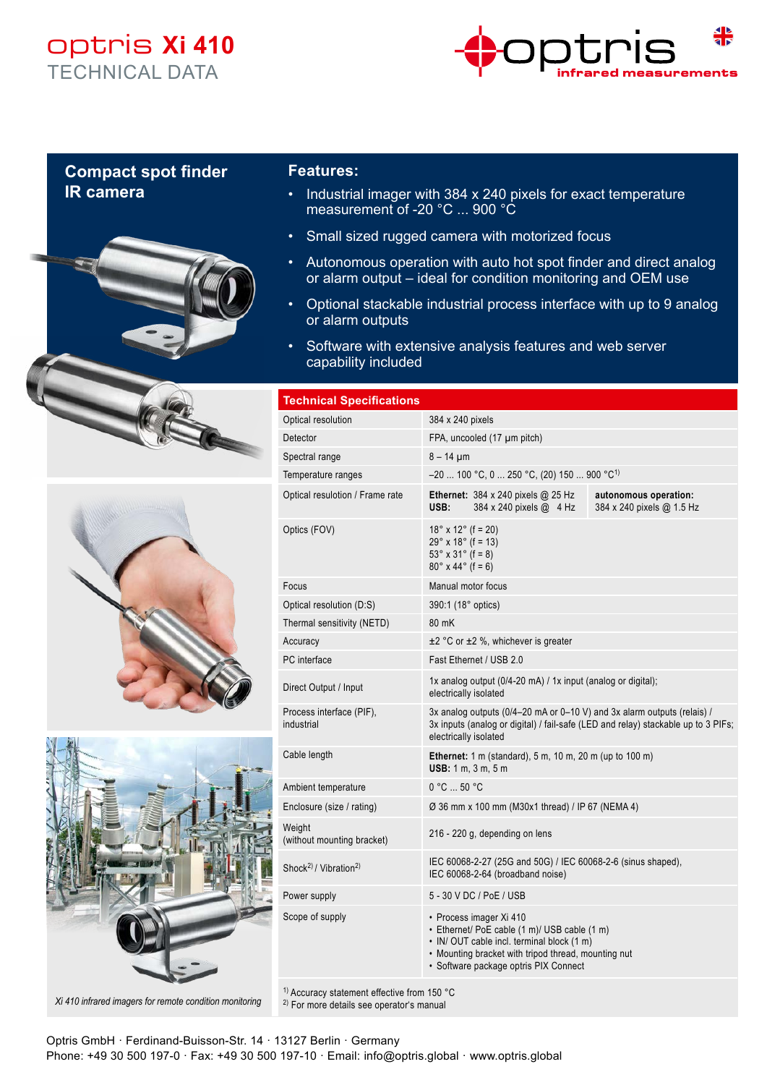## optris **Xi 410** TECHNICAL DATA



## **Compact spot finder IR camera**







## **Features:**

- Industrial imager with 384 x 240 pixels for exact temperature measurement of -20 °C ... 900 °C
- Small sized rugged camera with motorized focus
- Autonomous operation with auto hot spot finder and direct analog or alarm output – ideal for condition monitoring and OEM use
- Optional stackable industrial process interface with up to 9 analog or alarm outputs
- Software with extensive analysis features and web server capability included

| <b>Technical Specifications</b>               |                                                                                                                                                                                                                      |                                                    |
|-----------------------------------------------|----------------------------------------------------------------------------------------------------------------------------------------------------------------------------------------------------------------------|----------------------------------------------------|
| Optical resolution                            | 384 x 240 pixels                                                                                                                                                                                                     |                                                    |
| Detector                                      | FPA, uncooled (17 µm pitch)                                                                                                                                                                                          |                                                    |
| Spectral range                                | $8 - 14 \mu m$                                                                                                                                                                                                       |                                                    |
| Temperature ranges                            | $-20$ 100 °C, 0  250 °C, (20) 150  900 °C <sup>1)</sup>                                                                                                                                                              |                                                    |
| Optical resulotion / Frame rate               | Ethernet: 384 x 240 pixels @ 25 Hz<br>USB:<br>384 x 240 pixels @ 4 Hz                                                                                                                                                | autonomous operation:<br>384 x 240 pixels @ 1.5 Hz |
| Optics (FOV)                                  | $18^{\circ}$ x $12^{\circ}$ (f = 20)<br>$29°$ x 18° (f = 13)<br>$53^{\circ} \times 31^{\circ}$ (f = 8)<br>$80^{\circ}$ x 44° (f = 6)                                                                                 |                                                    |
| Focus                                         | Manual motor focus                                                                                                                                                                                                   |                                                    |
| Optical resolution (D:S)                      | 390:1 (18° optics)                                                                                                                                                                                                   |                                                    |
| Thermal sensitivity (NETD)                    | 80 mK                                                                                                                                                                                                                |                                                    |
| Accuracy                                      | $\pm$ 2 °C or $\pm$ 2 %, whichever is greater                                                                                                                                                                        |                                                    |
| PC interface                                  | Fast Ethernet / USB 2.0                                                                                                                                                                                              |                                                    |
| Direct Output / Input                         | 1x analog output (0/4-20 mA) / 1x input (analog or digital);<br>electrically isolated                                                                                                                                |                                                    |
| Process interface (PIF),<br>industrial        | 3x analog outputs (0/4-20 mA or 0-10 V) and 3x alarm outputs (relais) /<br>3x inputs (analog or digital) / fail-safe (LED and relay) stackable up to 3 PIFs;<br>electrically isolated                                |                                                    |
| Cable length                                  | Ethernet: 1 m (standard), 5 m, 10 m, 20 m (up to 100 m)<br><b>USB:</b> 1 m, 3 m, 5 m                                                                                                                                 |                                                    |
| Ambient temperature                           | 0 °C  50 °C                                                                                                                                                                                                          |                                                    |
| Enclosure (size / rating)                     | Ø 36 mm x 100 mm (M30x1 thread) / IP 67 (NEMA 4)                                                                                                                                                                     |                                                    |
| Weight<br>(without mounting bracket)          | 216 - 220 g, depending on lens                                                                                                                                                                                       |                                                    |
| Shock <sup>2)</sup> / Vibration <sup>2)</sup> | IEC 60068-2-27 (25G and 50G) / IEC 60068-2-6 (sinus shaped),<br>IEC 60068-2-64 (broadband noise)                                                                                                                     |                                                    |
| Power supply                                  | 5 - 30 V DC / PoE / USB                                                                                                                                                                                              |                                                    |
| Scope of supply                               | • Process imager Xi 410<br>• Ethernet/ PoE cable (1 m)/ USB cable (1 m)<br>• IN/OUT cable incl. terminal block (1 m)<br>• Mounting bracket with tripod thread, mounting nut<br>· Software package optris PIX Connect |                                                    |

1) Accuracy statement effective from 150 °C

2) For more details see operator's manual